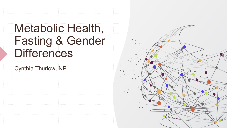# Metabolic Health, Fasting & Gender **Differences**

Cynthia Thurlow, NP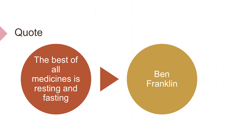# **Quote**

The best of all medicines is resting and fasting



Ben Franklin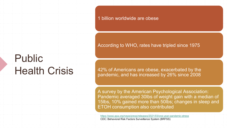1 billion worldwide are obese

# Public **Health Crisis**

According to WHO, rates have tripled since 1975

42% of Americans are obese, exacerbated by the pandemic, and has increased by 26% since 2008

A survey by the American Psychological Association: Pandemic averaged 30lbs of weight gain with a median of 15lbs, 10% gained more than 50lbs; changes in sleep and ETOH consumption also contributed

<https://www.apa.org/news/press/releases/2021/03/one-year-pandemic-stress> CDC: Behavioral Risk Factors Surveillance System (BRFSS)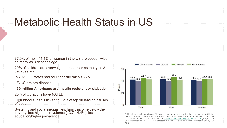## Metabolic Health Status in US

- $\cdot$  37.9% of men; 41.1% of women in the US are obese, twice as many as 3 decades ago
- 20% of children are overweight, three times as many as 3 decades ago
- $\cdot$  In 2020, 16 states had adult obesity rates  $>35\%$
- **1/3 US are pre-diabetic**
- **130 million Americans are insulin resistant or diabetic**
- 25% of US adults have NAFLD
- High blood sugar is linked to 8 out of top 10 leading causes of death
- Systemic and social inequalities: family income below the poverty line; highest prevalence (13.7-14.4%); less



POVERTY INTERNATION PROVENCING NEWSLET AND CONSIDERED MOTES: Estimates for adults ages 20 and over were age adjusted by the direct method to the 2000 U.S.<br>
Consus population using the age groups 20-39, 40-59, and 60 and ov total, 43.0% for men, and 42.1% for women. [Access data table for Figure 1](https://www.cdc.gov/nchs/data/databriefs/db360_tables-508.pdf#1) [External link](https://www.niddk.nih.gov/disclaimers) (PDF, 97.2 KB) . SOURCE: National Center for Health Statistics, National Health and Nutrition Examination Survey, 2017– 2018.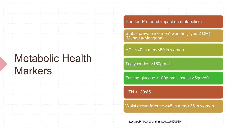## Metabolic Health **Markers**

Gender: Profound impact on metabolism

Global prevalence men>women (Type 2 DM) (Munguia-Mongana)

HDL <40 in men/<50 in women

Triglycerides >150gm.dl

Fasting glucose >100gm/dl, insulin >5gm/d0

HTN >130/85

Waist circumference >45 in men/>35 in women

https://pubmed.ncbi.nlm.nih.gov/27490920/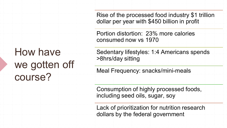Rise of the processed food industry \$1 trillion dollar per year with \$450 billion in profit

Portion distortion: 23% more calories consumed now vs 1970

Sedentary lifestyles: 1:4 Americans spends >8hrs/day sitting

Meal Frequency: snacks/mini-meals

Consumption of highly processed foods, including seed oils, sugar, soy

Lack of prioritization for nutrition research dollars by the federal government

# How have we gotten off course?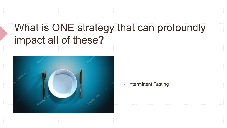# What is ONE strategy that can profoundly impact all of these?



#### **• Intermittent Fasting**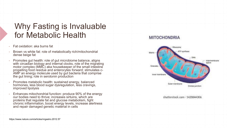### Why Fasting is Invaluable for Metabolic Health

- Fat oxidation: aka burns fat
- Brown vs white fat: role of metabolically rich/mitochondrial dense beige fat
- Promotes gut health: role of gut microbiome balance, aligns with circadian biology and internal clocks, role of the migrating motor complex (MMC) aka housekeeper of the small intestine propelling food residue and enterocytes forward; stimulates c-<br>AMP an energy molecule used by gut bacteria that comprise the gut lining; role in serotonin production
- **Promotes metabolic health: sustained energy, balanced** hormones, less blood sugar dysregulation, less cravings, improved lipolysis
- Enhances mitochondrial function: produce 90% of the energy our bodies need to thrive; increases sirtuins, which are proteins that regulate fat and glucose metabolism, fight chronic inflammation, boost energy levels, increase alertness and repair damaged genetic material in cells

#### **MITOCHONDRIA**



shutterstock.com - 1420844306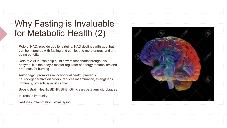### Why Fasting is Invaluable for Metabolic Health (2)

- Role of NAD: provide gas for sirtuins; NAD declines with age, but can be improved with fasting and can lead to more energy and antiaging benefits
- Role of AMPK: can help build new mitochondria through this enzyme; it is the body's master regulator of energy metabolism and promotes fat burning
- Autophagy : promotes mitochondrial health, prevents neurodegenerative disorders, reduces inflammation, strengthens immunity, protects against cancer
- Boosts Brain Health: BDNF, BHB, GH, clears beta amyloid plaques
- Increases immunity
- **Reduces inflammation, slows aging**

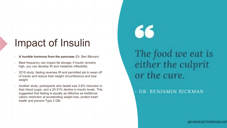# Impact of Insulin

- **A humble hormone from the pancreas** (Dr. Ben Bikman)
- Meal frequency can impact fat storage; if insulin remains high, you can develop IR and metabolic inflexibility
- 2018 study: fasting reverses IR and permitted pts to wean off of insulin and reduce their weight circumference and lose weight
- Another study: participants who fasted saw 3-6% reduction in their blood sugar, and a 20-31% decline in insulin levels. This suggested that fasting is equally as effective as traditional caloric restriction at accelerating weight loss, protect heart health and prevent Type 2 DM



# The food we eat is either the culprit or the cure.

### DR. BENJAMIN BICKMAN

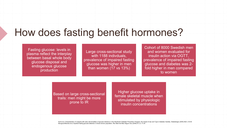# How does fasting benefit hormones?

Fasting glucose: levels in plasma reflect the interplay between basal whole body glucose disposal and endogenous glucose production

Large cross-sectional study with 1188 indivduals, prevalence of impaired fasting glucose was higher in men than women (17 vs 13%)

Cohort of 8000 Swedish men and women evaluated for insulin action via OGTT, prevalence of impaired fasting glucose and diabetes was 2 fold higher in men compared to women

Based on large cross-sectional trails: men might be more prone to IR

Higher glucose uptake in female skeletal muscle when stimulated by physiologic insulin concentrations

Kuhl et al. Characteristics of subjects with early abnormalities of glucose tolerance in the Stockholm Diabetes Prevention Program; the impact of sex and Type 2 diabetes heredity. Diabetologia (2005) 48(1): 35-40 Munguia-Miranda et al, Impaired fasting glucose detection in blood donors population. Rev Med Inst Mex Seguro Sco (2009) 47 (1): 17-24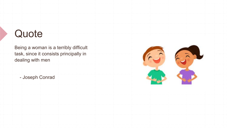# **Quote**

Being a woman is a terribly difficult task, since it consists principally in dealing with men

- Joseph Conrad

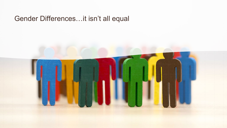### Gender Differences…it isn't all equal

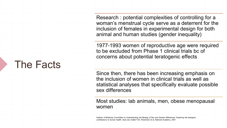Research : potential complexities of controlling for a woman's menstrual cycle serve as a deterrent for the inclusion of females in experimental design for both animal and human studies (gender inequality)

1977-1993 women of reproductive age were required to be excluded from Phase 1 clinical trials bc of concerns about potential teratogenic effects

Since then, there has been increasing emphasis on the inclusion of women in clinical trials as well as statistical analyses that specifically evaluate possible sex differences

Most studies: lab animals, men, obese menopausal women

Institute of Medicine Committee on Understanding the Biology of Sex and Gender Differences. Exploring the biological contributions to human health: does sex matter? Ed. Wizemann et al, National Academy, 2001

### The Facts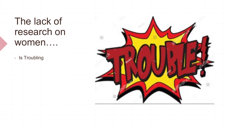# The lack of research on women….

▪ Is Troubling

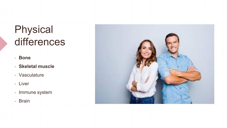# Physical differences

- **Bone**
- **Skeletal muscle**
- Vasculature
- Liver
- Immune system
- Brain

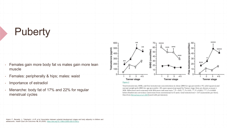# **Puberty**

- **EXA** Females gain more body fat vs males gain more lean muscle
- Females: peripherally & hips; males: waist
- Importance of estradiol
- Menarche: body fat of 17% and 22% for regular menstrual cycles



Total testosterone, SHBG, and free testosterone concentrations in obese (BMI-for-age percentile ≥ 95; solid squares) and normal-weight girls (BMI-for-age percentile < 85; open squares) grouped by Tanner stage. Data are shown as mean ± SEM. Differences were assessed with Wilcoxon rank sum tests: \*, P < 0.05; \*\*, P ≤ 0.01; \*\*\*, P ≤ 0.001; \*\*\*\*, P ≤ 0.0001 before Bonferroni correction. Conversion from conventional to SI units: total testosterone × 3.47 (nanomoles per liter). Data from [McCartney](https://www.ncbi.nlm.nih.gov/pmc/articles/PMC2931339/#R61)*[et al.](https://www.ncbi.nlm.nih.gov/pmc/articles/PMC2931339/#R61)* [2007](https://www.ncbi.nlm.nih.gov/pmc/articles/PMC2931339/#R61)(used with permission).

Adami, F., Benedet, J., Takahashi, L.A.R. *et al.* Association between pubertal development stages and body adiposity in children and adolescents. *Health Qual Life Outcomes* **18,** 93 (2020). <https://doi.org/10.1186/s12955-020-01342-y>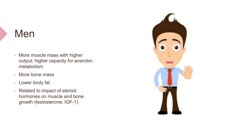# Men

- More muscle mass with higher output; higher capacity for anerobic metabolism
- More bone mass
- Lower body fat
- **Related to impact of steroid** hormones on muscle and bone growth (testosterone, IGF-1)

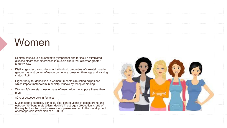# Women

Skeletal muscle is a quantitatively important site for insulin stimulated glucose clearance; differences in muscle fibers that allow for greater nutritive flow

Distinct gender dimorphisms in the intrinsic properties of skeletal muscle; gender has a stronger influence on gene expression than age and training status (Roth)

Higher body fat deposition in women: impacts circulating adipokines, which impact metabolism in skeletal muscle by receptor binding

- Women 2/3 skeletal muscle mass of men; twice the adipose tissue than men
	- 80% of osteoporosis in females

■ Multifactorial: exercise, genetics, diet, contributions of testosterone and estrogen re: bone metabolism; decline in estrogen production is one of the key factors that predisposes menopausal women to the development of osteoporosis (Wizeman et al, 2001)

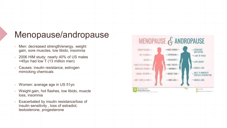### Menopause/andropause

- Men: decreased strength/energy, weight gain, sore muscles, low libido, insomnia
- 2006 HIM study: nearly 40% of US males >45yo had low T (13 million men)
- Causes: insulin resistance, estrogen mimicking chemicals
- Women: average age in US 51yo
- Weight gain, hot flashes, low libido, muscle loss, insomnia
- Exacerbated by insulin resistance/loss of insulin sensitivity , loss of estradiol, testosterone, progesterone

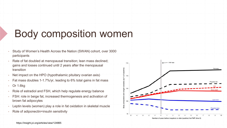# Body composition women

- Study of Women's Health Across the Nation (SWAN) cohort, over 3000 participants
- Rate of fat doubled at menopausal transition; lean mass declined; gains and losses continued until 2 years after the menopausal transition
- Net impact on the HPO (hypothalamic pituitary ovarian axis)
- Fat mass doubles 1-1.7%/yr, leading to 6% total gains in fat mass
- Or 1.6kg
- Role of estradiol and FSH, which help regulate energy balance
- FSH: role in beige fat, increased thermogenesis and activation of brown fat adipocytes
- Leptin levels (women) play a role in fat oxidation in skeletal muscle
- Role of adiponectin=insulin sensitivity



Number of years before (negative) or after (positive) the FMP (time 0

https://insight.jci.org/articles/view/124865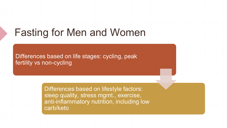# Fasting for Men and Women

Differences based on life stages: cycling, peak fertility vs non-cycling

> Differences based on lifestyle factors: sleep quality, stress mgmt., exercise, anti-inflammatory nutrition, including low carb/keto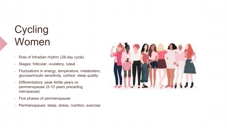# **Cycling** Women

- Role of Infradian rhythm (28-day cycle)
- Stages: follicular, ovulatory, luteal
- Fluctuations in energy, temperature, metabolism, glucose/insulin sensitivity, cortisol, sleep quality
- Differentiators: peak fertile years vs perimenopause (5-10 years preceding menopause)
- Five phases of perimenopause
- **EXPERIMENT Perimenopause: sleep, stress, nutrition, exercise**

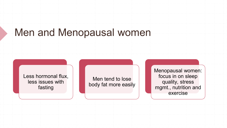### Men and Menopausal women

Less hormonal flux, less issues with fasting

Men tend to lose body fat more easily Menopausal women: focus in on sleep quality, stress mgmt., nutrition and exercise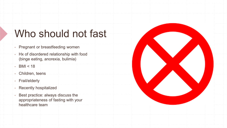# Who should not fast

- **Pregnant or breastfeeding women**
- **EX of disordered relationship with food** (binge eating, anorexia, bulimia)
- $-BMI < 18$
- Children, teens
- **· Frail/elderly**
- Recently hospitalized
- **Best practice: always discuss the** appropriateness of fasting with your healthcare team

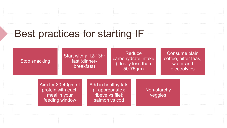# Best practices for starting IF

#### Stop snacking

#### Start with a 12-13hr fast (dinnerbreakfast)

#### **Reduce** carbohydrate intake (ideally less than 50-75gm)

#### Consume plain coffee, bitter teas, water and electrolytes

Aim for 30-40gm of protein with each meal in your feeding window

Add in healthy fats (if appropriate): ribeye vs filet; salmon vs cod

Non-starchy veggies